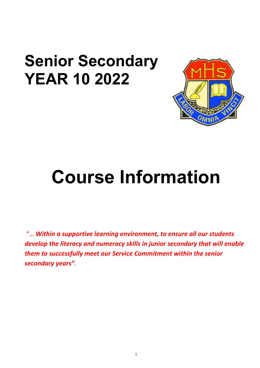# **Senior Secondary YEAR 10 2022**



# **Course Information**

"… *Within a supportive learning environment, to ensure all our students develop the literacy and numeracy skills in junior secondary that will enable them to successfully meet our Service Commitment within the senior secondary years".*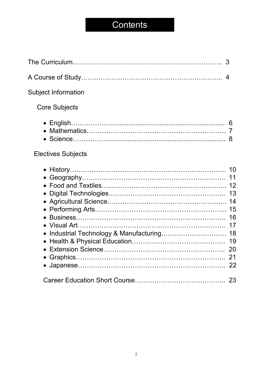# **Contents**

| <b>Subject Information</b>                 |          |
|--------------------------------------------|----------|
| <b>Core Subjects</b>                       |          |
| <b>Electives Subjects</b>                  |          |
| • Industrial Technology & Manufacturing 18 | 19<br>20 |
|                                            |          |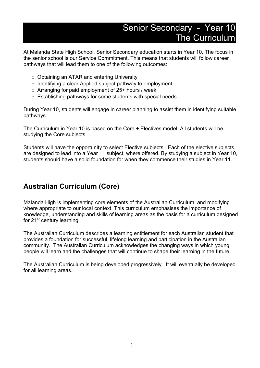# Senior Secondary - Year 10 The Curriculum

At Malanda State High School, Senior Secondary education starts in Year 10. The focus in the senior school is our Service Commitment. This means that students will follow career pathways that will lead them to one of the following outcomes:

- o Obtaining an ATAR and entering University
- o Identifying a clear Applied subject pathway to employment
- $\circ$  Arranging for paid employment of 25+ hours / week
- o Establishing pathways for some students with special needs.

During Year 10, students will engage in career planning to assist them in identifying suitable pathways.

The Curriculum in Year 10 is based on the Core + Electives model. All students will be studying the Core subjects.

Students will have the opportunity to select Elective subjects*.* Each of the elective subjects are designed to lead into a Year 11 subject, where offered. By studying a subject in Year 10, students should have a solid foundation for when they commence their studies in Year 11.

# **Australian Curriculum (Core)**

Malanda High is implementing core elements of the Australian Curriculum, and modifying where appropriate to our local context. This curriculum emphasises the importance of knowledge, understanding and skills of learning areas as the basis for a curriculum designed for 21st century learning.

The Australian Curriculum describes a learning entitlement for each Australian student that provides a foundation for successful, lifelong learning and participation in the Australian community. The Australian Curriculum acknowledges the changing ways in which young people will learn and the challenges that will continue to shape their learning in the future.

The Australian Curriculum is being developed progressively. It will eventually be developed for all learning areas.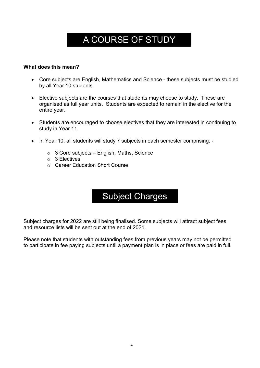# A COURSE OF STUDY

# **What does this mean?**

- Core subjects are English, Mathematics and Science these subjects must be studied by all Year 10 students.
- Elective subjects are the courses that students may choose to study. These are organised as full year units. Students are expected to remain in the elective for the entire year.
- Students are encouraged to choose electives that they are interested in continuing to study in Year 11.
- In Year 10, all students will study 7 subjects in each semester comprising:
	- $\circ$  3 Core subjects English, Maths, Science
	- o 3 Electives
	- o Career Education Short Course

# Subject Charges

Subject charges for 2022 are still being finalised. Some subjects will attract subject fees and resource lists will be sent out at the end of 2021.

Please note that students with outstanding fees from previous years may not be permitted to participate in fee paying subjects until a payment plan is in place or fees are paid in full.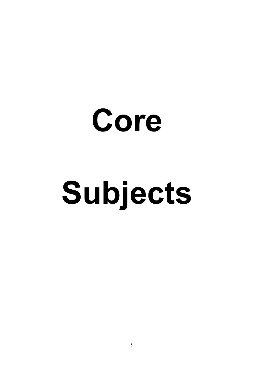# **Core Subjects**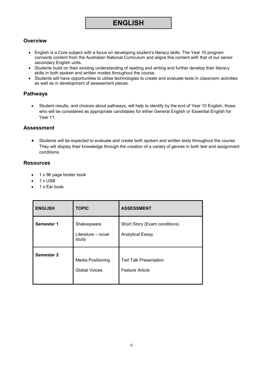# **ENGLISH**

# **Overview**

- English is a Core subject with a focus on developing student's literacy skills. The Year 10 program connects content from the Australian National Curriculum and aligns this content with that of our senior secondary English units.
- Students build on their existing understanding of reading and writing and further develop their literacy skills in both spoken and written modes throughout the course.
- Students will have opportunities to utilise technologies to create and evaluate texts in classroom activities as well as in development of assessment pieces.

# **Pathways**

• Student results, and choices about pathways, will help to identify by the end of Year 10 English, those who will be considered as appropriate candidates for either General English or Essential English for Year 11.

# **Assessment**

• Students will be expected to evaluate and create both spoken and written texts throughout the course. They will display their knowledge through the creation of a variety of genres in both test and assignment conditions.

- 1 x 96 page binder book
- 1 x USB
- 1 x Ear buds

| <b>ENGLISH</b>    | <b>TOPIC</b>                                     | <b>ASSESSMENT</b>                                        |
|-------------------|--------------------------------------------------|----------------------------------------------------------|
| Semester 1        | Shakespeare<br>Literature - novel<br>study       | Short Story (Exam conditions)<br><b>Analytical Essay</b> |
| <b>Semester 2</b> | <b>Media Positioning</b><br><b>Global Voices</b> | <b>Ted Talk Presentation</b><br><b>Feature Article</b>   |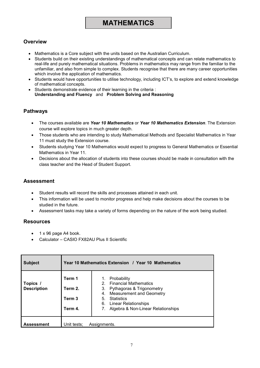# **MATHEMATICS**

# **Overview**

- Mathematics is a Core subject with the units based on the Australian Curriculum.
- Students build on their existing understandings of mathematical concepts and can relate mathematics to real-life and purely mathematical situations. Problems in mathematics may range from the familiar to the unfamiliar, and also from simple to complex. Students recognise that there are many career opportunities which involve the application of mathematics.
- Students would have opportunities to utilise technology, including ICT's, to explore and extend knowledge of mathematical concepts.
- Students demonstrate evidence of their learning in the criteria : **Understanding and Fluency** and **Problem Solving and Reasoning**

## **Pathways**

- The courses available are *Year 10 Mathematics* or *Year 10 Mathematics Extension*. The Extension course will explore topics in much greater depth.
- Those students who are intending to study Mathematical Methods and Specialist Mathematics in Year 11 must study the Extension course.
- Students studying Year 10 Mathematics would expect to progress to General Mathematics or Essential Mathematics in Year 11.
- Decisions about the allocation of students into these courses should be made in consultation with the class teacher and the Head of Student Support.

# **Assessment**

- Student results will record the skills and processes attained in each unit.
- This information will be used to monitor progress and help make decisions about the courses to be studied in the future.
- Assessment tasks may take a variety of forms depending on the nature of the work being studied.

- 1 x 96 page A4 book.
- Calculator CASIO FX82AU Plus II Scientific

| <b>Subject</b>                 | Year 10 Mathematics Extension / Year 10 Mathematics |                                                                                                                                                                                                                                 |
|--------------------------------|-----------------------------------------------------|---------------------------------------------------------------------------------------------------------------------------------------------------------------------------------------------------------------------------------|
| Topics /<br><b>Description</b> | Term 1<br>Term 2.<br>Term 3<br>Term 4.              | Probability<br>1.<br>2. Financial Mathematics<br>Pythagoras & Trigonometry<br>3.<br><b>Measurement and Geometry</b><br>4.<br><b>Statistics</b><br>5.<br><b>Linear Relationships</b><br>6.<br>Algebra & Non-Linear Relationships |
| Assessment                     | Unit tests;                                         | Assignments.                                                                                                                                                                                                                    |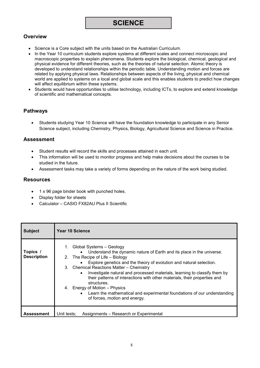# **SCIENCE**

# **Overview**

- Science is a Core subject with the units based on the Australian Curriculum.
- In the Year 10 curriculum students explore systems at different scales and connect microscopic and macroscopic properties to explain phenomena. Students explore the biological, chemical, geological and physical evidence for different theories, such as the theories of natural selection. Atomic theory is developed to understand relationships within the periodic table. Understanding motion and forces are related by applying physical laws. Relationships between aspects of the living, physical and chemical world are applied to systems on a local and global scale and this enables students to predict how changes will affect equilibrium within these systems.
- Students would have opportunities to utilise technology, including ICTs, to explore and extend knowledge of scientific and mathematical concepts.

# **Pathways**

• Students studying Year 10 Science will have the foundation knowledge to participate in any Senior Science subject, including Chemistry, Physics, Biology, Agricultural Science and Science in Practice.

# **Assessment**

- Student results will record the skills and processes attained in each unit.
- This information will be used to monitor progress and help make decisions about the courses to be studied in the future.
- Assessment tasks may take a variety of forms depending on the nature of the work being studied.

- 1 x 96 page binder book with punched holes.
- Display folder for sheets
- Calculator CASIO FX82AU Plus II Scientific

| <b>Subject</b>                 | Year 10 Science                                                                                                                                                                                                                                                                                                                                                                                                                                                                                                                                                                                |
|--------------------------------|------------------------------------------------------------------------------------------------------------------------------------------------------------------------------------------------------------------------------------------------------------------------------------------------------------------------------------------------------------------------------------------------------------------------------------------------------------------------------------------------------------------------------------------------------------------------------------------------|
| Topics /<br><b>Description</b> | 1. Global Systems - Geology<br>Understand the dynamic nature of Earth and its place in the universe.<br>2. The Recipe of Life - Biology<br>Explore genetics and the theory of evolution and natural selection.<br>3. Chemical Reactions Matter - Chemistry<br>Investigate natural and processed materials, learning to classify them by<br>their patterns of interactions with other materials, their properties and<br>structures.<br>4. Energy of Motion – Physics<br>Learn the mathematical and experimental foundations of our understanding<br>$\bullet$<br>of forces, motion and energy. |
| <b>Assessment</b>              | Unit tests; Assignments - Research or Experimental                                                                                                                                                                                                                                                                                                                                                                                                                                                                                                                                             |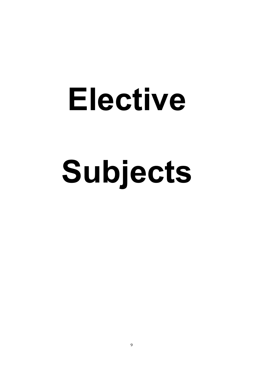# **Elective Subjects**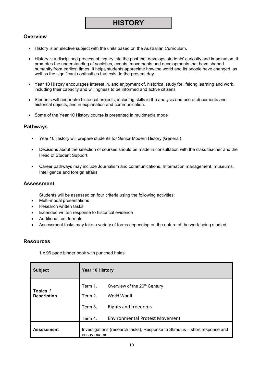# **Overview**

- History is an elective subject with the units based on the Australian Curriculum.
- History is a disciplined process of inquiry into the past that develops students' curiosity and imagination. It promotes the understanding of societies, events, movements and developments that have shaped humanity from earliest times. It helps students appreciate how the world and its people have changed, as well as the significant continuities that exist to the present day.
- Year 10 History encourages interest in, and enjoyment of, historical study for lifelong learning and work, including their capacity and willingness to be informed and active citizens
- Students will undertake historical projects, including skills in the analysis and use of documents and historical objects, and in explanation and communication.
- Some of the Year 10 History course is presented in multimedia mode

# **Pathways**

- Year 10 History will prepare students for Senior Modern History (General)
- Decisions about the selection of courses should be made in consultation with the class teacher and the Head of Student Support.
- Career pathways may include Journalism and communications, Information management, museums, Intelligence and foreign affairs

# **Assessment**

Students will be assessed on four criteria using the following activities:

- Multi-modal presentations
- Research written tasks
- Extended written response to historical evidence
- Additional test formats
- Assessment tasks may take a variety of forms depending on the nature of the work being studied.

## **Resources**

1 x 96 page binder book with punched holes.

| <b>Subject</b>                 | Year 10 History    |                                                                            |
|--------------------------------|--------------------|----------------------------------------------------------------------------|
| Topics /<br><b>Description</b> | Term 1.<br>Term 2. | Overview of the 20 <sup>th</sup> Century<br>World War II                   |
|                                | Term 3.            | <b>Rights and freedoms</b>                                                 |
|                                | Term 4.            | <b>Environmental Protest Movement</b>                                      |
| <b>Assessment</b>              | essay exams        | Investigations (research tasks), Response to Stimulus – short response and |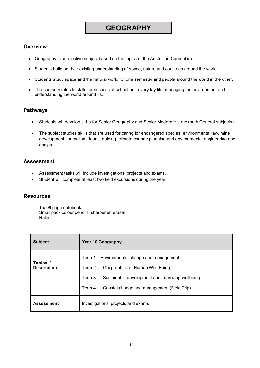# **GEOGRAPHY**

# **Overview**

- Geography is an elective subject based on the topics of the Australian Curriculum
- Students build on their existing understanding of space, nature and countries around the world.
- Students study space and the natural world for one semester and people around the world in the other.
- The course relates to skills for success at school and everyday life, managing the environment and understanding the world around us.

## **Pathways**

- Students will develop skills for Senior Geography and Senior Modern History (both General subjects)
- The subject studies skills that are used for caring for endangered species, environmental law, mine development, journalism, tourist guiding, climate change planning and environmental engineering and design.

# **Assessment**

- Assessment tasks will include investigations, projects and exams.
- Student will complete at least two field excursions during the year.

## **Resources**

1 x 96 page notebook. Small pack colour pencils, sharpener, eraser Ruler

| <b>Subject</b>                 | <b>Year 10 Geography</b>                                                                                                                                                                                         |  |
|--------------------------------|------------------------------------------------------------------------------------------------------------------------------------------------------------------------------------------------------------------|--|
| Topics /<br><b>Description</b> | Term 1. Environmental change and management<br>Term 2.<br>Geographics of Human Well Being<br>Term 3.<br>Sustainable development and improving wellbeing<br>Coastal change and management (Field Trip)<br>Term 4. |  |
| <b>Assessment</b>              | Investigations, projects and exams                                                                                                                                                                               |  |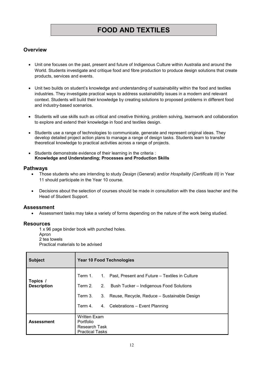# **FOOD AND TEXTILES**

# **Overview**

- Unit one focuses on the past, present and future of Indigenous Culture within Australia and around the World. Students investigate and critique food and fibre production to produce design solutions that create products, services and events.
- Unit two builds on student's knowledge and understanding of sustainability within the food and textiles industries. They investigate practical ways to address sustainability issues in a modern and relevant context. Students will build their knowledge by creating solutions to proposed problems in different food and industry-based scenarios.
- Students will use skills such as critical and creative thinking, problem solving, teamwork and collaboration to explore and extend their knowledge in food and textiles design.
- Students use a range of technologies to communicate, generate and represent original ideas. They develop detailed project action plans to manage a range of design tasks. Students learn to transfer theoretical knowledge to practical activities across a range of projects.
- Students demonstrate evidence of their learning in the criteria : **Knowledge and Understanding; Processes and Production Skills**

### **Pathways**

- Those students who are intending to study *Design* (General) and/or *Hospitality (Certificate III)* in Year 11 should participate in the Year 10 course.
- Decisions about the selection of courses should be made in consultation with the class teacher and the Head of Student Support.

### **Assessment**

• Assessment tasks may take a variety of forms depending on the nature of the work being studied.

### **Resources**

1 x 96 page binder book with punched holes. Apron 2 tea towels

Practical materials to be advised

| <b>Subject</b>                 | <b>Year 10 Food Technologies</b>                                                                                                                                                                                                        |  |
|--------------------------------|-----------------------------------------------------------------------------------------------------------------------------------------------------------------------------------------------------------------------------------------|--|
| Topics /<br><b>Description</b> | Term 1.<br>1.<br>Past, Present and Future – Textiles in Culture<br>Term 2.<br>2. Bush Tucker – Indigenous Food Solutions<br>Term 3.<br>3.<br>Reuse, Recycle, Reduce - Sustainable Design<br>4. Celebrations - Event Planning<br>Term 4. |  |
| <b>Assessment</b>              | <b>Written Exam</b><br>Portfolio<br><b>Research Task</b><br><b>Practical Tasks</b>                                                                                                                                                      |  |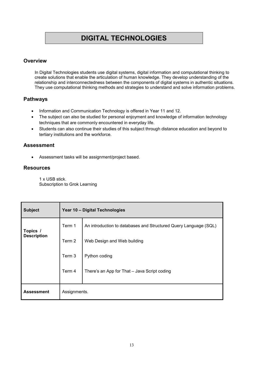# **DIGITAL TECHNOLOGIES**

# **Overview**

In Digital Technologies students use digital systems, digital information and computational thinking to create solutions that enable the articulation of human knowledge. They develop understanding of the relationship and interconnectedness between the components of digital systems in authentic situations. They use computational thinking methods and strategies to understand and solve information problems.

# **Pathways**

- Information and Communication Technology is offered in Year 11 and 12.
- The subject can also be studied for personal enjoyment and knowledge of information technology techniques that are commonly encountered in everyday life.
- Students can also continue their studies of this subject through distance education and beyond to tertiary institutions and the workforce.

# **Assessment**

• Assessment tasks will be assignment/project based.

# **Resources**

1 x USB stick. Subscription to Grok Learning

| <b>Subject</b>     |              | Year 10 - Digital Technologies                                   |  |  |
|--------------------|--------------|------------------------------------------------------------------|--|--|
| Term 1<br>Topics / |              | An introduction to databases and Structured Query Language (SQL) |  |  |
| <b>Description</b> | Term 2       | Web Design and Web building                                      |  |  |
|                    | Term 3       | Python coding                                                    |  |  |
|                    | Term 4       | There's an App for That - Java Script coding                     |  |  |
| <b>Assessment</b>  | Assignments. |                                                                  |  |  |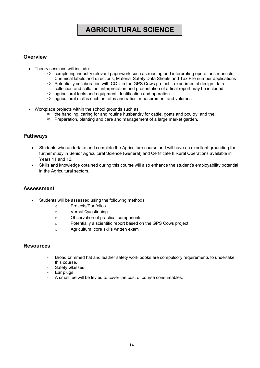# **AGRICULTURAL SCIENCE**

# **Overview**

- Theory sessions will include:
	- $\Rightarrow$  completing industry relevant paperwork such as reading and interpreting operations manuals, Chemical labels and directions, Material Safety Data Sheets and Tax File number applications
	- $\Rightarrow$  Potentially collaboration with CQU in the GPS Cows project experimental design, data collection and collation, interpretation and presentation of a final report may be included
	- $\Rightarrow$  agricultural tools and equipment identification and operation
	- $\Rightarrow$  agricultural maths such as rates and ratios, measurement and volumes
- Workplace projects within the school grounds such as
	- $\Rightarrow$  the handling, caring for and routine husbandry for cattle, goats and poultry and the
	- $\Rightarrow$  Preparation, planting and care and management of a large market garden.

# **Pathways**

- Students who undertake and complete the Agriculture course and will have an excellent grounding for further study in Senior Agricultural Science (General) and Certificate II Rural Operations available in Years 11 and 12.
- Skills and knowledge obtained during this course will also enhance the student's employability potential in the Agricultural sectors.

## **Assessment**

- Students will be assessed using the following methods
	- o Projects/Portfolios
	- o Verbal Questioning
	- o Observation of practical components
	- o Potentially a scientific report based on the GPS Cows project
	- o Agricultural core skills written exam

- Broad brimmed hat and leather safety work books are compulsory requirements to undertake this course.
- Safety Glasses
- Ear plugs
- A small fee will be levied to cover the cost of course consumables.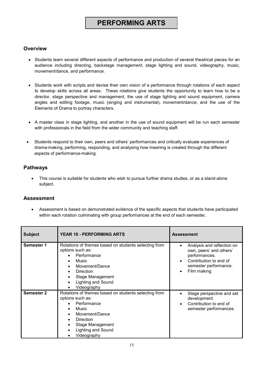# **PERFORMING ARTS**

# **Overview**

- Students learn several different aspects of performance and production of several theatrical pieces for an audience including directing, backstage management, stage lighting and sound, videography, music, movement/dance, and performance.
- Students work with scripts and devise their own vision of a performance through rotations of each aspect to develop skills across all areas. These rotations give students the opportunity to learn how to be a director, stage perspective and management, the use of stage lighting and sound equipment, camera angles and editing footage, music (singing and instrumental), movement/dance, and the use of the Elements of Drama to portray characters.
- A master class in stage lighting, and another in the use of sound equipment will be run each semester with professionals in the field from the wider community and teaching staff.
- Students respond to their own, peers and others' performances and critically evaluate experiences of drama-making, performing, responding, and analysing how meaning is created through the different aspects of performance-making.

# **Pathways**

• This course is suitable for students who wish to pursue further drama studies, or as a stand-alone subject.

# **Assessment**

• Assessment is based on demonstrated evidence of the specific aspects that students have participated within each rotation culminating with group performances at the end of each semester*.*

| <b>Subject</b>    | <b>YEAR 10 - PERFORMING ARTS</b>                                                                                                                                                                       | <b>Assessment</b>                                                                                                                        |
|-------------------|--------------------------------------------------------------------------------------------------------------------------------------------------------------------------------------------------------|------------------------------------------------------------------------------------------------------------------------------------------|
| Semester 1        | Rotations of themes based on students selecting from<br>options such as:<br>Performance<br>Music<br>Movement/Dance<br>Direction<br><b>Stage Management</b><br><b>Lighting and Sound</b><br>Videography | Analysis and reflection on<br>own, peers' and others'<br>performances.<br>Contribution to end of<br>semester performance.<br>Film making |
| <b>Semester 2</b> | Rotations of themes based on students selecting from<br>options such as:<br>Performance<br>Music<br>Movement/Dance<br>Direction<br>Stage Management<br><b>Lighting and Sound</b><br>Videography        | Stage perspective and set<br>development.<br>Contribution to end of<br>semester performances.                                            |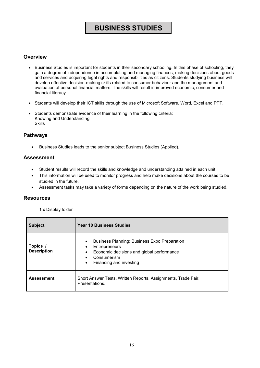# **BUSINESS STUDIES**

# **Overview**

- Business Studies is important for students in their secondary schooling. In this phase of schooling, they gain a degree of independence in accumulating and managing finances, making decisions about goods and services and acquiring legal rights and responsibilities as citizens. Students studying business will develop effective decision-making skills related to consumer behaviour and the management and evaluation of personal financial matters. The skills will result in improved economic, consumer and financial literacy.
- Students will develop their ICT skills through the use of Microsoft Software, Word, Excel and PPT.
- Students demonstrate evidence of their learning in the following criteria: Knowing and Understanding Skills

# **Pathways**

• Business Studies leads to the senior subject Business Studies (Applied).

## **Assessment**

- Student results will record the skills and knowledge and understanding attained in each unit.
- This information will be used to monitor progress and help make decisions about the courses to be studied in the future.
- Assessment tasks may take a variety of forms depending on the nature of the work being studied.

### **Resources**

### 1 x Display folder

| <b>Subject</b>                 | <b>Year 10 Business Studies</b>                                                                                                                                                    |
|--------------------------------|------------------------------------------------------------------------------------------------------------------------------------------------------------------------------------|
| Topics /<br><b>Description</b> | <b>Business Planning: Business Expo Preparation</b><br>$\bullet$<br>Entrepreneurs<br>Economic decisions and global performance<br>٠<br>Consumerism<br>Financing and investing<br>٠ |
| <b>Assessment</b>              | Short Answer Tests, Written Reports, Assignments, Trade Fair,<br>Presentations.                                                                                                    |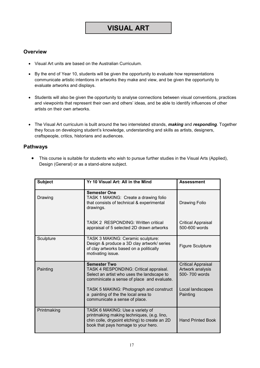# **VISUAL ART**

# **Overview**

- Visual Art units are based on the Australian Curriculum.
- By the end of Year 10, students will be given the opportunity to evaluate how representations communicate artistic intentions in artworks they make and view, and be given the opportunity to evaluate artworks and displays.
- Students will also be given the opportunity to analyse connections between visual conventions, practices and viewpoints that represent their own and others' ideas, and be able to identify influences of other artists on their own artworks.
- The Visual Art curriculum is built around the two interrelated strands, *making* and *responding*. Together they focus on developing student's knowledge, understanding and skills as artists, designers, craftspeople, critics, historians and audiences.

# **Pathways**

• This course is suitable for students who wish to pursue further studies in the Visual Arts (Applied), Design (General) or as a stand-alone subject.

| <b>Subject</b> | Yr 10 Visual Art: All in the Mind                                                                                                                                     | <b>Assessment</b>                                              |
|----------------|-----------------------------------------------------------------------------------------------------------------------------------------------------------------------|----------------------------------------------------------------|
| Drawing        | <b>Semester One</b><br>TASK 1 MAKING: Create a drawing folio<br>that consists of technical & experimental<br>drawings.                                                | <b>Drawing Folio</b>                                           |
|                | TASK 2 RESPONDING: Written critical<br>appraisal of 5 selected 2D drawn artworks                                                                                      | <b>Critical Appraisal</b><br>500-600 words                     |
| Sculpture      | TASK 3 MAKING: Ceramic sculpture:<br>Design & produce a 3D clay artwork/ series<br>of clay artworks based on a politically<br>motivating issue.                       | <b>Figure Sculpture</b>                                        |
| Painting       | <b>Semester Two</b><br>TASK 4 RESPONDING: Critical appraisal.<br>Select an artist who uses the landscape to<br>comminicate a sense of place and evaluate.             | <b>Critical Appraisal</b><br>Artwork analysis<br>500-700 words |
|                | TASK 5 MAKING: Photograph and construct<br>a painting of the the local area to<br>communicate a sense of place.                                                       | Local landscapes<br>Painting                                   |
| Printmaking    | TASK 6 MAKING: Use a variety of<br>printmaking making techniques, (e.g. lino,<br>chin colle, drypoint etching) to create an 2D<br>book that pays homage to your hero. | <b>Hand Printed Book</b>                                       |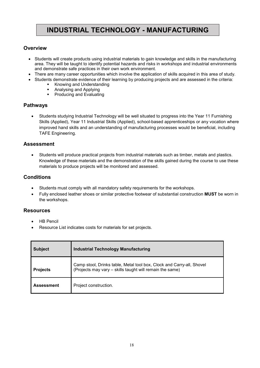# **INDUSTRIAL TECHNOLOGY - MANUFACTURING**

# **Overview**

- Students will create products using industrial materials to gain knowledge and skills in the manufacturing area. They will be taught to identify potential hazards and risks in workshops and industrial environments and demonstrate safe practices in their own work environment.
- There are many career opportunities which involve the application of skills acquired in this area of study.
- Students demonstrate evidence of their learning by producing projects and are assessed in the criteria:
	- Knowing and Understanding
	- Analysing and Applying
	- **•** Producing and Evaluating

# **Pathways**

• Students studying Industrial Technology will be well situated to progress into the Year 11 Furnishing Skills (Applied), Year 11 Industrial Skills (Applied), school-based apprenticeships or any vocation where improved hand skills and an understanding of manufacturing processes would be beneficial, including TAFE Engineering.

## **Assessment**

• Students will produce practical projects from industrial materials such as timber, metals and plastics. Knowledge of these materials and the demonstration of the skills gained during the course to use these materials to produce projects will be monitored and assessed.

# **Conditions**

- Students must comply with all mandatory safety requirements for the workshops.
- Fully enclosed leather shoes or similar protective footwear of substantial construction **MUST** be worn in the workshops.

- HB Pencil
- Resource List indicates costs for materials for set projects.

| <b>Subject</b>    | <b>Industrial Technology Manufacturing</b>                                                                                        |  |
|-------------------|-----------------------------------------------------------------------------------------------------------------------------------|--|
| <b>Projects</b>   | Camp stool, Drinks table, Metal tool box, Clock and Carry-all, Shovel<br>(Projects may vary - skills taught will remain the same) |  |
| <b>Assessment</b> | Project construction.                                                                                                             |  |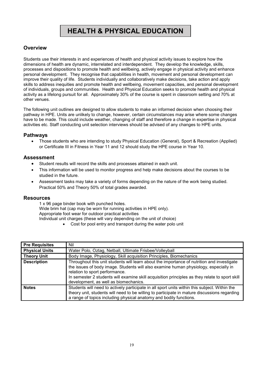# **HEALTH & PHYSICAL EDUCATION**

# **Overview**

Students use their interests in and experiences of health and physical activity issues to explore how the dimensions of health are dynamic, interrelated and interdependent. They develop the knowledge, skills, processes and dispositions to promote health and wellbeing, actively engage in physical activity and enhance personal development. They recognise that capabilities in health, movement and personal development can improve their quality of life. Students individually and collaboratively make decisions, take action and apply skills to address inequities and promote health and wellbeing, movement capacities, and personal development of individuals, groups and communities. Health and Physical Education seeks to promote health and physical activity as a lifelong pursuit for all. Approximately 30% of the course is spent in classroom setting and 70% at other venues.

The following unit outlines are designed to allow students to make an informed decision when choosing their pathway in HPE. Units are unlikely to change, however, certain circumstances may arise where some changes have to be made. This could include weather, changing of staff and therefore a change in expertise in physical activities etc. Staff conducting unit selection interviews should be advised of any changes to HPE units.

# **Pathways**

• Those students who are intending to study Physical Education (General), Sport & Recreation (Applied) or Certificate III in Fitness in Year 11 and 12 should study the HPE course in Year 10.

# **Assessment**

- Student results will record the skills and processes attained in each unit.
- This information will be used to monitor progress and help make decisions about the courses to be studied in the future.
- Assessment tasks may take a variety of forms depending on the nature of the work being studied. Practical 50% and Theory 50% of total grades awarded.

### **Resources**

1 x 96 page binder book with punched holes. Wide brim hat (cap may be worn for running activities in HPE only). Appropriate foot wear for outdoor practical activities Individual unit charges (these will vary depending on the unit of choice)

Cost for pool entry and transport during the water polo unit

| <b>Pre Requisites</b> | Nil                                                                                                                                                                                                                                                                                                                                                             |
|-----------------------|-----------------------------------------------------------------------------------------------------------------------------------------------------------------------------------------------------------------------------------------------------------------------------------------------------------------------------------------------------------------|
| <b>Physical Units</b> | Water Polo, Oztag, Netball, Ultimate Frisbee/Volleyball                                                                                                                                                                                                                                                                                                         |
| <b>Theory Unit</b>    | Body Image, Physiology, Skill acquisition Principles, Biomechanics                                                                                                                                                                                                                                                                                              |
| <b>Description</b>    | Throughout this unit students will learn about the importance of nutrition and investigate<br>the issues of body image. Students will also examine human physiology, especially in<br>relation to sport performance.<br>In semester 2 students will examine skill acquisition principles as they relate to sport skill<br>development, as well as biomechanics. |
| <b>Notes</b>          | Students will need to actively participate in all sport units within this subject. Within the<br>theory unit, students will need to be willing to participate in mature discussions regarding<br>a range of topics including physical anatomy and bodily functions.                                                                                             |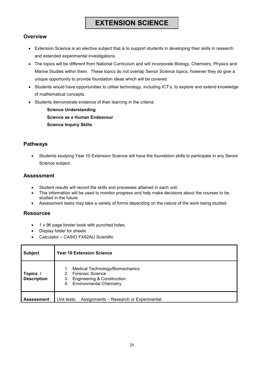# **EXTENSION SCIENCE**

# **Overview**

- Extension Science is an elective subject that is to support students in developing their skills in research and extended experimental investigations.
- The topics will be different from National Curriculum and will incorporate Biology, Chemistry, Physics and Marine Studies within them. These topics do not overlap Senior Science topics; however they do give a unique opportunity to provide foundation ideas which will be covered.
- Students would have opportunities to utilise technology, including ICT's, to explore and extend knowledge of mathematical concepts.
- Students demonstrate evidence of their learning in the criteria:

**Science Understanding Science as a Human Endeavour Science Inquiry Skills**

# **Pathways**

• Students studying Year 10 Extension Science will have the foundation skills to participate in any Senior Science subject.

# **Assessment**

- Student results will record the skills and processes attained in each unit.
- This information will be used to monitor progress and help make decisions about the courses to be studied in the future.
- Assessment tasks may take a variety of forms depending on the nature of the work being studied.

- 1 x 96 page binder book with punched holes.
- Display folder for sheets
- Calculator CASIO FX82AU Scientific

| <b>Subject</b>                 | <b>Year 10 Extension Science</b>                                                                                                          |
|--------------------------------|-------------------------------------------------------------------------------------------------------------------------------------------|
| Topics /<br><b>Description</b> | Medical Technology/Biomechanics<br>1.<br>2. Forensic Science<br><b>Engineering &amp; Construction</b><br>3.<br>4. Environmental Chemistry |
| <b>Assessment</b>              | Assignments – Research or Experimental<br>Unit tests;                                                                                     |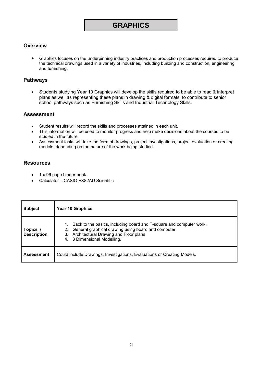# **GRAPHICS**

# **Overview**

• Graphics focuses on the underpinning industry practices and production processes required to produce the technical drawings used in a variety of industries, including building and construction, engineering and furnishing.

# **Pathways**

• Students studying Year 10 Graphics will develop the skills required to be able to read & interpret plans as well as representing these plans in drawing & digital formats, to contribute to senior school pathways such as Furnishing Skills and Industrial Technology Skills.

## **Assessment**

- Student results will record the skills and processes attained in each unit.
- This information will be used to monitor progress and help make decisions about the courses to be studied in the future.
- Assessment tasks will take the form of drawings, project investigations, project evaluation or creating models, depending on the nature of the work being studied.

- 1 x 96 page binder book.
- Calculator CASIO FX82AU Scientific

| <b>Subject</b>                 | Year 10 Graphics                                                                                                                                                                                               |
|--------------------------------|----------------------------------------------------------------------------------------------------------------------------------------------------------------------------------------------------------------|
| Topics /<br><b>Description</b> | Back to the basics, including board and T-square and computer work.<br>General graphical drawing using board and computer.<br>2.<br>Architectural Drawing and Floor plans<br>3.<br>4. 3 Dimensional Modelling. |
| <b>Assessment</b>              | Could include Drawings, Investigations, Evaluations or Creating Models.                                                                                                                                        |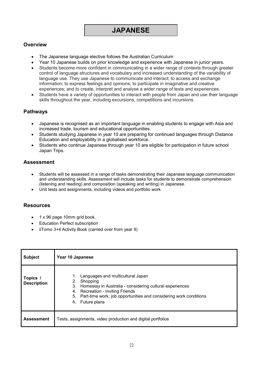# **Overview**

- The Japanese language elective follows the Australian Curriculum
- Year 10 Japanese builds on prior knowledge and experience with Japanese in junior years.
- Students become more confident in communicating in a wider range of contexts through greater control of language structures and vocabulary and increased understanding of the variability of language use. They use Japanese to communicate and interact; to access and exchange information; to express feelings and opinions; to participate in imaginative and creative experiences; and to create, interpret and analyse a wider range of texts and experiences.
- Students have a variety of opportunities to interact with people from Japan and use their language skills throughout the year, including excursions, competitions and incursions.

# **Pathways**

- Japanese is recognised as an important language in enabling students to engage with Asia and increased trade, tourism and educational opportunities.
- Students studying Japanese in year 10 are preparing for continued languages through Distance Education and employability in a globalised workforce.
- Students who continue Japanese through year 10 are eligible for participation in future school Japan Trips.

# **Assessment**

- Students will be assessed in a range of tasks demonstrating their Japanese language communication and understanding skills. Assessment will include tasks for students to demonstrate comprehension (listening and reading) and composition (speaking and writing) in Japanese.
- Unit tests and assignments, including videos and portfolio work

- 1 x 96 page 10mm grid book.
- Education Perfect subscription
- iiTomo 3+4 Activity Book (carried over from year 9)

| <b>Subject</b>                 | Year 10 Japanese                                                                                                                                                                                                                                                        |
|--------------------------------|-------------------------------------------------------------------------------------------------------------------------------------------------------------------------------------------------------------------------------------------------------------------------|
| Topics /<br><b>Description</b> | Languages and multicultural Japan<br>1.<br>2.<br>Shopping<br>3.<br>Homestay in Australia - considering cultural experiences<br><b>Recreation - Inviting Friends</b><br>4.<br>Part-time work, job opportunities and considering work conditions<br>5.<br>6. Future plans |
| <b>Assessment</b>              | Tests, assignments, video production and digital portfolios                                                                                                                                                                                                             |